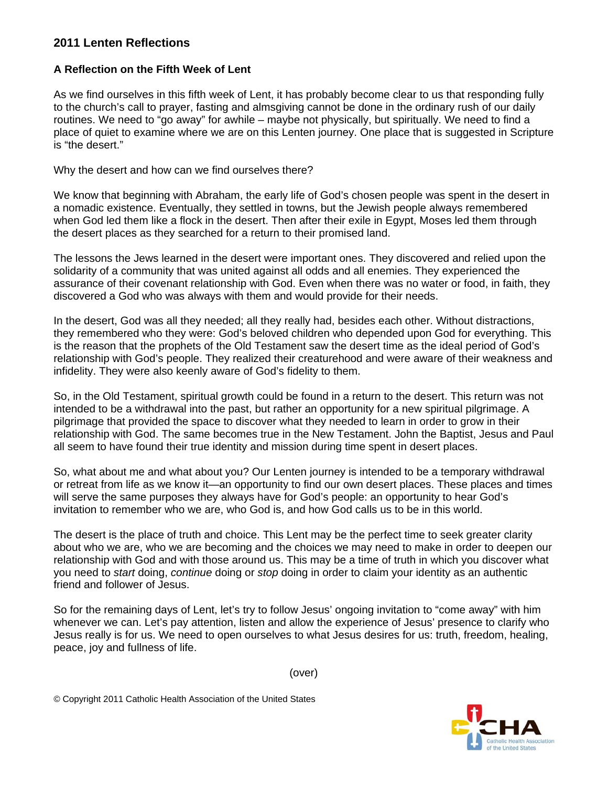## **2011 Lenten Reflections**

## **A Reflection on the Fifth Week of Lent**

As we find ourselves in this fifth week of Lent, it has probably become clear to us that responding fully to the church's call to prayer, fasting and almsgiving cannot be done in the ordinary rush of our daily routines. We need to "go away" for awhile – maybe not physically, but spiritually. We need to find a place of quiet to examine where we are on this Lenten journey. One place that is suggested in Scripture is "the desert."

Why the desert and how can we find ourselves there?

We know that beginning with Abraham, the early life of God's chosen people was spent in the desert in a nomadic existence. Eventually, they settled in towns, but the Jewish people always remembered when God led them like a flock in the desert. Then after their exile in Egypt, Moses led them through the desert places as they searched for a return to their promised land.

The lessons the Jews learned in the desert were important ones. They discovered and relied upon the solidarity of a community that was united against all odds and all enemies. They experienced the assurance of their covenant relationship with God. Even when there was no water or food, in faith, they discovered a God who was always with them and would provide for their needs.

In the desert, God was all they needed; all they really had, besides each other. Without distractions, they remembered who they were: God's beloved children who depended upon God for everything. This is the reason that the prophets of the Old Testament saw the desert time as the ideal period of God's relationship with God's people. They realized their creaturehood and were aware of their weakness and infidelity. They were also keenly aware of God's fidelity to them.

So, in the Old Testament, spiritual growth could be found in a return to the desert. This return was not intended to be a withdrawal into the past, but rather an opportunity for a new spiritual pilgrimage. A pilgrimage that provided the space to discover what they needed to learn in order to grow in their relationship with God. The same becomes true in the New Testament. John the Baptist, Jesus and Paul all seem to have found their true identity and mission during time spent in desert places.

So, what about me and what about you? Our Lenten journey is intended to be a temporary withdrawal or retreat from life as we know it—an opportunity to find our own desert places. These places and times will serve the same purposes they always have for God's people: an opportunity to hear God's invitation to remember who we are, who God is, and how God calls us to be in this world.

The desert is the place of truth and choice. This Lent may be the perfect time to seek greater clarity about who we are, who we are becoming and the choices we may need to make in order to deepen our relationship with God and with those around us. This may be a time of truth in which you discover what you need to *start* doing, *continue* doing or *stop* doing in order to claim your identity as an authentic friend and follower of Jesus.

So for the remaining days of Lent, let's try to follow Jesus' ongoing invitation to "come away" with him whenever we can. Let's pay attention, listen and allow the experience of Jesus' presence to clarify who Jesus really is for us. We need to open ourselves to what Jesus desires for us: truth, freedom, healing, peace, joy and fullness of life.

(over)

© Copyright 2011 Catholic Health Association of the United States